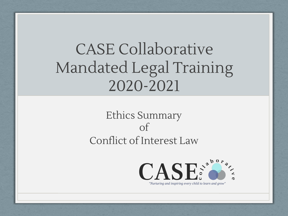# CASE Collaborative Mandated Legal Training 2020-2021

# Ethics Summary of Conflict of Interest Law

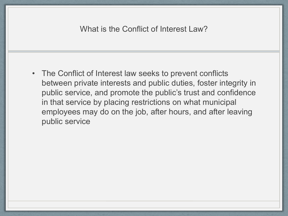#### What is the Conflict of Interest Law?

• The Conflict of Interest law seeks to prevent conflicts between private interests and public duties, foster integrity in public service, and promote the public's trust and confidence in that service by placing restrictions on what municipal employees may do on the job, after hours, and after leaving public service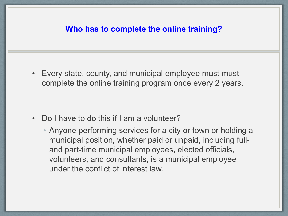#### **Who has to complete the online training?**

• Every state, county, and municipal employee must must complete the online training program once every 2 years.

- Do I have to do this if I am a volunteer?
	- Anyone performing services for a city or town or holding a municipal position, whether paid or unpaid, including fulland part-time municipal employees, elected officials, volunteers, and consultants, is a municipal employee under the conflict of interest law.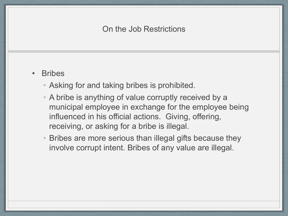- Bribes
	- Asking for and taking bribes is prohibited.
	- A bribe is anything of value corruptly received by a municipal employee in exchange for the employee being influenced in his official actions. Giving, offering, receiving, or asking for a bribe is illegal.
	- Bribes are more serious than illegal gifts because they involve corrupt intent. Bribes of any value are illegal.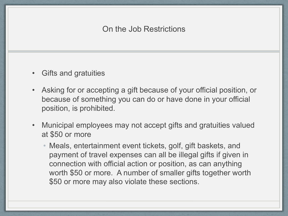- Gifts and gratuities
- Asking for or accepting a gift because of your official position, or because of something you can do or have done in your official position, is prohibited.
- Municipal employees may not accept gifts and gratuities valued at \$50 or more
	- Meals, entertainment event tickets, golf, gift baskets, and payment of travel expenses can all be illegal gifts if given in connection with official action or position, as can anything worth \$50 or more. A number of smaller gifts together worth \$50 or more may also violate these sections.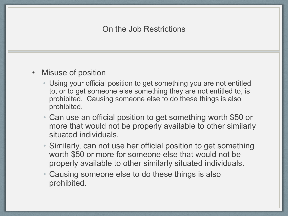#### • Misuse of position

- Using your official position to get something you are not entitled to, or to get someone else something they are not entitled to, is prohibited. Causing someone else to do these things is also prohibited.
- Can use an official position to get something worth \$50 or more that would not be properly available to other similarly situated individuals.
- Similarly, can not use her official position to get something worth \$50 or more for someone else that would not be properly available to other similarly situated individuals.
- Causing someone else to do these things is also prohibited.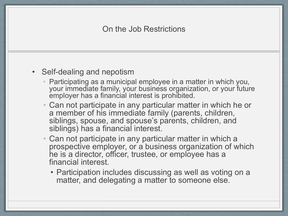#### • Self-dealing and nepotism

- Participating as a municipal employee in a matter in which you, your immediate family, your business organization, or your future employer has a financial interest is prohibited.
- Can not participate in any particular matter in which he or a member of his immediate family (parents, children, siblings, spouse, and spouse's parents, children, and siblings) has a financial interest.
- Can not participate in any particular matter in which a prospective employer, or a business organization of which he is a director, officer, trustee, or employee has a financial interest.
	- Participation includes discussing as well as voting on a matter, and delegating a matter to someone else.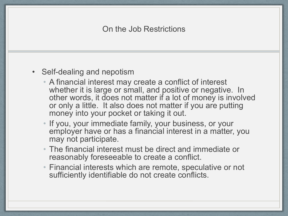#### • Self-dealing and nepotism

- A financial interest may create a conflict of interest whether it is large or small, and positive or negative. In other words, it does not matter if a lot of money is involved or only a little. It also does not matter if you are putting money into your pocket or taking it out.
- If you, your immediate family, your business, or your employer have or has a financial interest in a matter, you may not participate.
- The financial interest must be direct and immediate or reasonably foreseeable to create a conflict.
- Financial interests which are remote, speculative or not sufficiently identifiable do not create conflicts.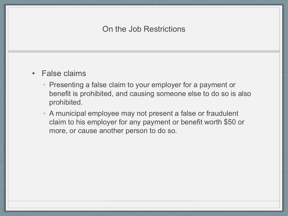- False claims
	- Presenting a false claim to your employer for a payment or benefit is prohibited, and causing someone else to do so is also prohibited.
	- A municipal employee may not present a false or fraudulent claim to his employer for any payment or benefit worth \$50 or more, or cause another person to do so.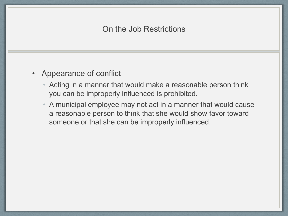- Appearance of conflict
	- Acting in a manner that would make a reasonable person think you can be improperly influenced is prohibited.
	- A municipal employee may not act in a manner that would cause a reasonable person to think that she would show favor toward someone or that she can be improperly influenced.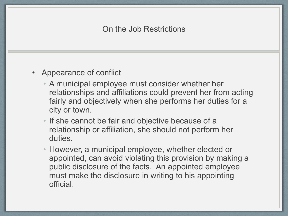- Appearance of conflict
	- A municipal employee must consider whether her relationships and affiliations could prevent her from acting fairly and objectively when she performs her duties for a city or town.
	- If she cannot be fair and objective because of a relationship or affiliation, she should not perform her duties.
	- However, a municipal employee, whether elected or appointed, can avoid violating this provision by making a public disclosure of the facts. An appointed employee must make the disclosure in writing to his appointing official.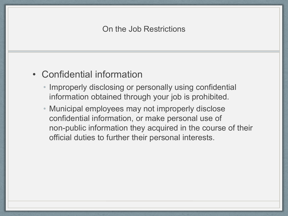# • Confidential information

- Improperly disclosing or personally using confidential information obtained through your job is prohibited.
- Municipal employees may not improperly disclose confidential information, or make personal use of non-public information they acquired in the course of their official duties to further their personal interests.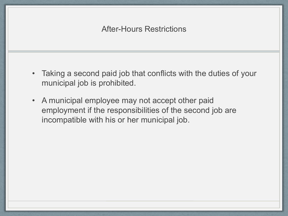- Taking a second paid job that conflicts with the duties of your municipal job is prohibited.
- A municipal employee may not accept other paid employment if the responsibilities of the second job are incompatible with his or her municipal job.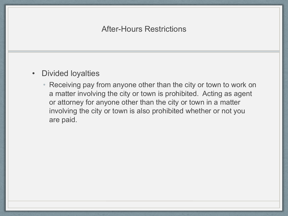#### • Divided loyalties

• Receiving pay from anyone other than the city or town to work on a matter involving the city or town is prohibited. Acting as agent or attorney for anyone other than the city or town in a matter involving the city or town is also prohibited whether or not you are paid.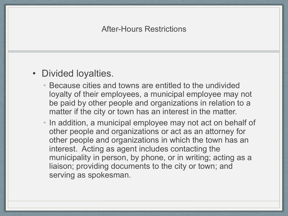### • Divided loyalties.

- Because cities and towns are entitled to the undivided loyalty of their employees, a municipal employee may not be paid by other people and organizations in relation to a matter if the city or town has an interest in the matter.
- In addition, a municipal employee may not act on behalf of other people and organizations or act as an attorney for other people and organizations in which the town has an interest. Acting as agent includes contacting the municipality in person, by phone, or in writing; acting as a liaison; providing documents to the city or town; and serving as spokesman.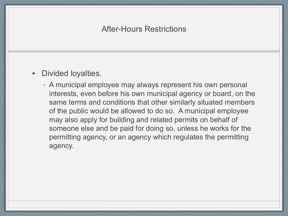#### • Divided loyalties.

• A municipal employee may always represent his own personal interests, even before his own municipal agency or board, on the same terms and conditions that other similarly situated members of the public would be allowed to do so. A municipal employee may also apply for building and related permits on behalf of someone else and be paid for doing so, unless he works for the permitting agency, or an agency which regulates the permitting agency.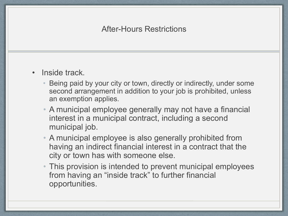- Inside track.
	- Being paid by your city or town, directly or indirectly, under some second arrangement in addition to your job is prohibited, unless an exemption applies.
	- A municipal employee generally may not have a financial interest in a municipal contract, including a second municipal job.
	- A municipal employee is also generally prohibited from having an indirect financial interest in a contract that the city or town has with someone else.
	- This provision is intended to prevent municipal employees from having an "inside track" to further financial opportunities.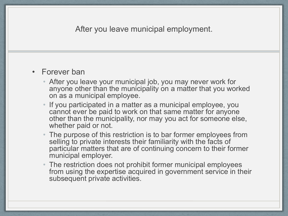#### After you leave municipal employment.

#### • Forever ban

- After you leave your municipal job, you may never work for anyone other than the municipality on a matter that you worked on as a municipal employee.
- If you participated in a matter as a municipal employee, you cannot ever be paid to work on that same matter for anyone other than the municipality, nor may you act for someone else, whether paid or not.
- The purpose of this restriction is to bar former employees from selling to private interests their familiarity with the facts of particular matters that are of continuing concern to their former municipal employer.
- The restriction does not prohibit former municipal employees from using the expertise acquired in government service in their subsequent private activities.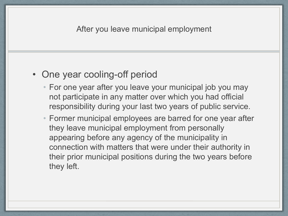# • One year cooling-off period

- For one year after you leave your municipal job you may not participate in any matter over which you had official responsibility during your last two years of public service.
- Former municipal employees are barred for one year after they leave municipal employment from personally appearing before any agency of the municipality in connection with matters that were under their authority in their prior municipal positions during the two years before they left.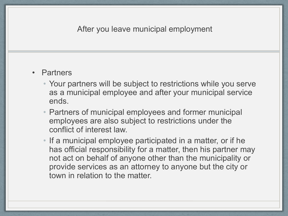#### After you leave municipal employment

#### **Partners**

- Your partners will be subject to restrictions while you serve as a municipal employee and after your municipal service ends.
- Partners of municipal employees and former municipal employees are also subject to restrictions under the conflict of interest law.
- If a municipal employee participated in a matter, or if he has official responsibility for a matter, then his partner may not act on behalf of anyone other than the municipality or provide services as an attorney to anyone but the city or town in relation to the matter.